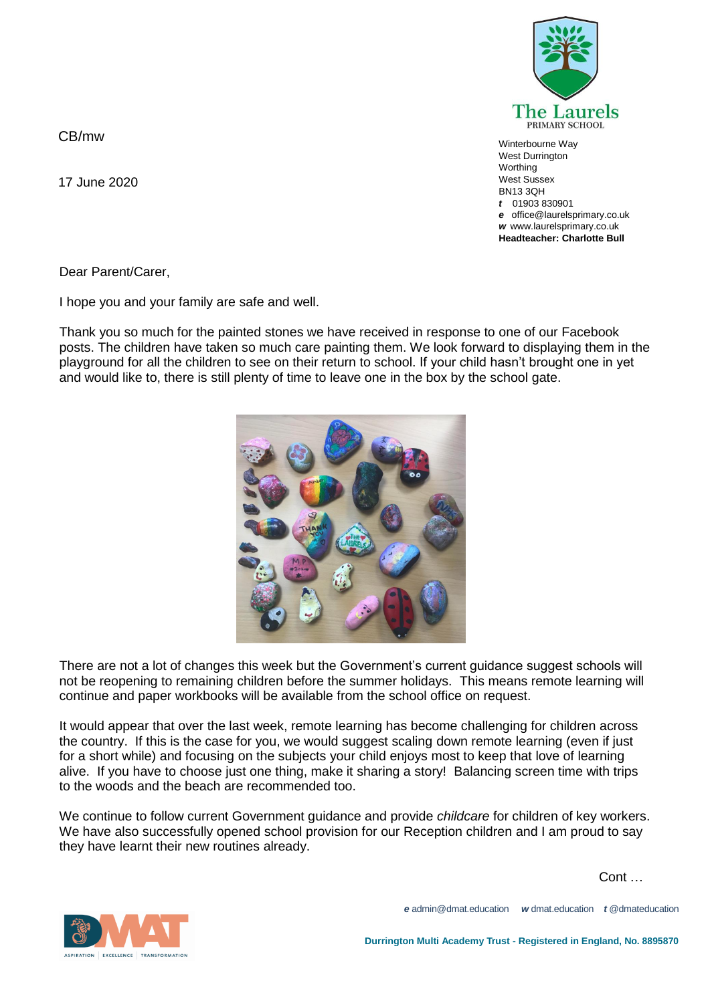**The Laurels** PRIMARY SCHOOL

Winterbourne Way West Durrington **Worthing** West Sussex BN13 3QH *t* 01903 830901 *e* office@laurelsprimary.co.uk *w* www.laurelsprimary.co.uk **Headteacher: Charlotte Bull**

CB/mw

17 June 2020

Dear Parent/Carer,

I hope you and your family are safe and well.

Thank you so much for the painted stones we have received in response to one of our Facebook posts. The children have taken so much care painting them. We look forward to displaying them in the playground for all the children to see on their return to school. If your child hasn't brought one in yet and would like to, there is still plenty of time to leave one in the box by the school gate.



There are not a lot of changes this week but the Government's current guidance suggest schools will not be reopening to remaining children before the summer holidays. This means remote learning will continue and paper workbooks will be available from the school office on request.

It would appear that over the last week, remote learning has become challenging for children across the country. If this is the case for you, we would suggest scaling down remote learning (even if just for a short while) and focusing on the subjects your child enjoys most to keep that love of learning alive. If you have to choose just one thing, make it sharing a story! Balancing screen time with trips to the woods and the beach are recommended too.

We continue to follow current Government guidance and provide *childcare* for children of key workers. We have also successfully opened school provision for our Reception children and I am proud to say they have learnt their new routines already.

 $\mathsf{Cont} \, \ldots$ 



*e* admin@dmat.education *w* dmat.education *t* @dmateducation